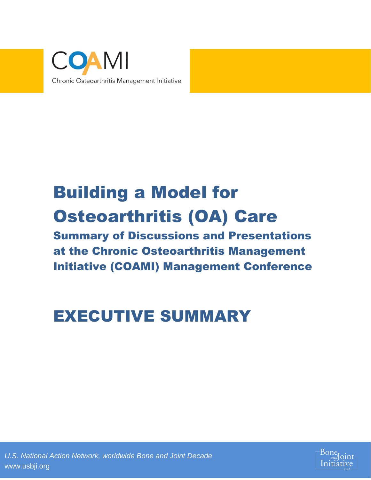

# Building a Model for Osteoarthritis (OA) Care

Summary of Discussions and Presentations at the Chronic Osteoarthritis Management Initiative (COAMI) Management Conference

# EXECUTIVE SUMMARY

*U.S. National Action Network, worldwide Bone and Joint Decade* www.usbji.org

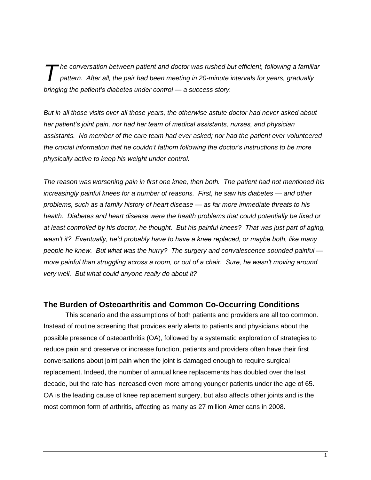*he conversation between patient and doctor was rushed but efficient, following a familiar pattern. After all, the pair had been meeting in 20-minute intervals for years, gradually bringing the patient's diabetes under control — a success story. T*

*But in all those visits over all those years, the otherwise astute doctor had never asked about her patient's joint pain, nor had her team of medical assistants, nurses, and physician assistants. No member of the care team had ever asked; nor had the patient ever volunteered the crucial information that he couldn't fathom following the doctor's instructions to be more physically active to keep his weight under control.* 

*The reason was worsening pain in first one knee, then both. The patient had not mentioned his increasingly painful knees for a number of reasons. First, he saw his diabetes — and other problems, such as a family history of heart disease — as far more immediate threats to his health. Diabetes and heart disease were the health problems that could potentially be fixed or at least controlled by his doctor, he thought. But his painful knees? That was just part of aging, wasn't it? Eventually, he'd probably have to have a knee replaced, or maybe both, like many people he knew. But what was the hurry? The surgery and convalescence sounded painful more painful than struggling across a room, or out of a chair. Sure, he wasn't moving around very well. But what could anyone really do about it?*

#### **The Burden of Osteoarthritis and Common Co-Occurring Conditions**

This scenario and the assumptions of both patients and providers are all too common. Instead of routine screening that provides early alerts to patients and physicians about the possible presence of osteoarthritis (OA), followed by a systematic exploration of strategies to reduce pain and preserve or increase function, patients and providers often have their first conversations about joint pain when the joint is damaged enough to require surgical replacement. Indeed, the number of annual knee replacements has doubled over the last decade, but the rate has increased even more among younger patients under the age of 65. OA is the leading cause of knee replacement surgery, but also affects other joints and is the most common form of arthritis, affecting as many as 27 million Americans in 2008.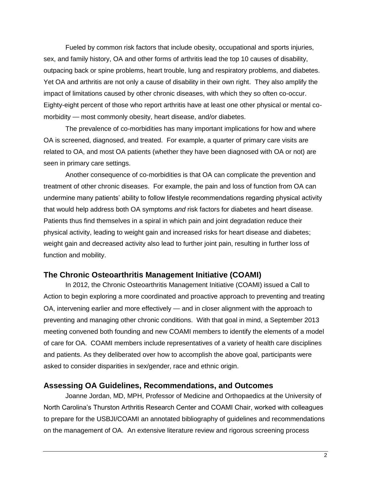Fueled by common risk factors that include obesity, occupational and sports injuries, sex, and family history, OA and other forms of arthritis lead the top 10 causes of disability, outpacing back or spine problems, heart trouble, lung and respiratory problems, and diabetes. Yet OA and arthritis are not only a cause of disability in their own right. They also amplify the impact of limitations caused by other chronic diseases, with which they so often co-occur. Eighty-eight percent of those who report arthritis have at least one other physical or mental comorbidity — most commonly obesity, heart disease, and/or diabetes.

The prevalence of co-morbidities has many important implications for how and where OA is screened, diagnosed, and treated. For example, a quarter of primary care visits are related to OA, and most OA patients (whether they have been diagnosed with OA or not) are seen in primary care settings.

Another consequence of co-morbidities is that OA can complicate the prevention and treatment of other chronic diseases. For example, the pain and loss of function from OA can undermine many patients' ability to follow lifestyle recommendations regarding physical activity that would help address both OA symptoms *and* risk factors for diabetes and heart disease. Patients thus find themselves in a spiral in which pain and joint degradation reduce their physical activity, leading to weight gain and increased risks for heart disease and diabetes; weight gain and decreased activity also lead to further joint pain, resulting in further loss of function and mobility.

### **The Chronic Osteoarthritis Management Initiative (COAMI)**

In 2012, the Chronic Osteoarthritis Management Initiative (COAMI) issued a Call to Action to begin exploring a more coordinated and proactive approach to preventing and treating OA, intervening earlier and more effectively — and in closer alignment with the approach to preventing and managing other chronic conditions. With that goal in mind, a September 2013 meeting convened both founding and new COAMI members to identify the elements of a model of care for OA. COAMI members include representatives of a variety of health care disciplines and patients. As they deliberated over how to accomplish the above goal, participants were asked to consider disparities in sex/gender, race and ethnic origin.

### **Assessing OA Guidelines, Recommendations, and Outcomes**

Joanne Jordan, MD, MPH, Professor of Medicine and Orthopaedics at the University of North Carolina's Thurston Arthritis Research Center and COAMI Chair, worked with colleagues to prepare for the USBJI/COAMI an annotated bibliography of guidelines and recommendations on the management of OA. An extensive literature review and rigorous screening process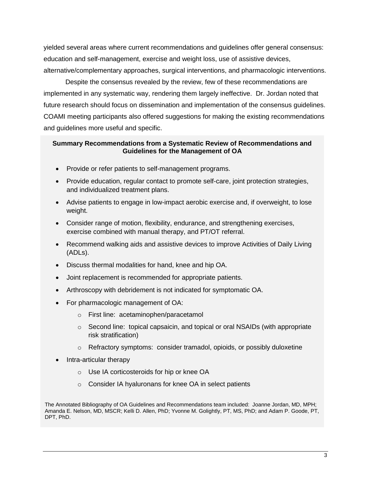yielded several areas where current recommendations and guidelines offer general consensus: education and self-management, exercise and weight loss, use of assistive devices, alternative/complementary approaches, surgical interventions, and pharmacologic interventions.

Despite the consensus revealed by the review, few of these recommendations are implemented in any systematic way, rendering them largely ineffective. Dr. Jordan noted that future research should focus on dissemination and implementation of the consensus guidelines. COAMI meeting participants also offered suggestions for making the existing recommendations and guidelines more useful and specific.

#### **Summary Recommendations from a Systematic Review of Recommendations and Guidelines for the Management of OA**

- Provide or refer patients to self-management programs.
- Provide education, regular contact to promote self-care, joint protection strategies, and individualized treatment plans.
- Advise patients to engage in low-impact aerobic exercise and, if overweight, to lose weight.
- Consider range of motion, flexibility, endurance, and strengthening exercises, exercise combined with manual therapy, and PT/OT referral.
- Recommend walking aids and assistive devices to improve Activities of Daily Living (ADLs).
- Discuss thermal modalities for hand, knee and hip OA.
- Joint replacement is recommended for appropriate patients.
- Arthroscopy with debridement is not indicated for symptomatic OA.
- For pharmacologic management of OA:
	- o First line: acetaminophen/paracetamol
	- o Second line: topical capsaicin, and topical or oral NSAIDs (with appropriate risk stratification)
	- $\circ$  Refractory symptoms: consider tramadol, opioids, or possibly duloxetine
- Intra-articular therapy
	- o Use IA corticosteroids for hip or knee OA
	- o Consider IA hyaluronans for knee OA in select patients

The Annotated Bibliography of OA Guidelines and Recommendations team included: Joanne Jordan, MD, MPH; Amanda E. Nelson, MD, MSCR; Kelli D. Allen, PhD; Yvonne M. Golightly, PT, MS, PhD; and Adam P. Goode, PT, DPT, PhD.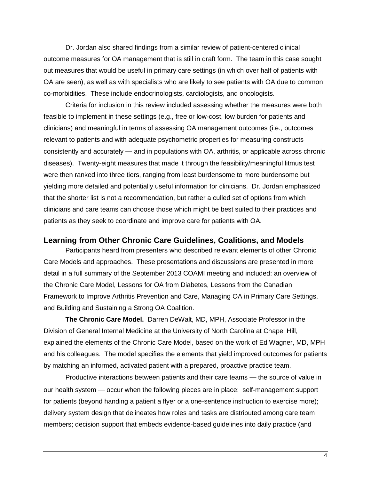Dr. Jordan also shared findings from a similar review of patient-centered clinical outcome measures for OA management that is still in draft form. The team in this case sought out measures that would be useful in primary care settings (in which over half of patients with OA are seen), as well as with specialists who are likely to see patients with OA due to common co-morbidities. These include endocrinologists, cardiologists, and oncologists.

Criteria for inclusion in this review included assessing whether the measures were both feasible to implement in these settings (e.g., free or low-cost, low burden for patients and clinicians) and meaningful in terms of assessing OA management outcomes (i.e., outcomes relevant to patients and with adequate psychometric properties for measuring constructs consistently and accurately — and in populations with OA, arthritis, or applicable across chronic diseases). Twenty-eight measures that made it through the feasibility/meaningful litmus test were then ranked into three tiers, ranging from least burdensome to more burdensome but yielding more detailed and potentially useful information for clinicians. Dr. Jordan emphasized that the shorter list is not a recommendation, but rather a culled set of options from which clinicians and care teams can choose those which might be best suited to their practices and patients as they seek to coordinate and improve care for patients with OA.

#### **Learning from Other Chronic Care Guidelines, Coalitions, and Models**

Participants heard from presenters who described relevant elements of other Chronic Care Models and approaches. These presentations and discussions are presented in more detail in a full summary of the September 2013 COAMI meeting and included: an overview of the Chronic Care Model, Lessons for OA from Diabetes, Lessons from the Canadian Framework to Improve Arthritis Prevention and Care, Managing OA in Primary Care Settings, and Building and Sustaining a Strong OA Coalition.

**The Chronic Care Model.** Darren DeWalt, MD, MPH, Associate Professor in the Division of General Internal Medicine at the University of North Carolina at Chapel Hill, explained the elements of the Chronic Care Model, based on the work of Ed Wagner, MD, MPH and his colleagues. The model specifies the elements that yield improved outcomes for patients by matching an informed, activated patient with a prepared, proactive practice team.

Productive interactions between patients and their care teams — the source of value in our health system — occur when the following pieces are in place: self-management support for patients (beyond handing a patient a flyer or a one-sentence instruction to exercise more); delivery system design that delineates how roles and tasks are distributed among care team members; decision support that embeds evidence-based guidelines into daily practice (and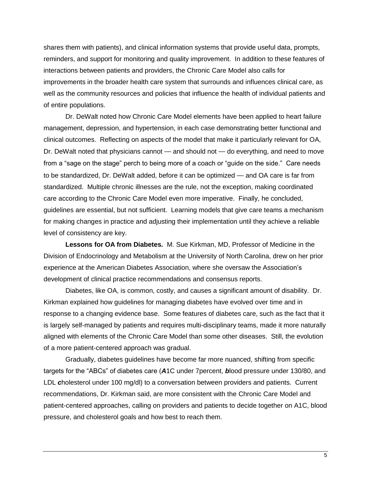shares them with patients), and clinical information systems that provide useful data, prompts, reminders, and support for monitoring and quality improvement. In addition to these features of interactions between patients and providers, the Chronic Care Model also calls for improvements in the broader health care system that surrounds and influences clinical care, as well as the community resources and policies that influence the health of individual patients and of entire populations.

Dr. DeWalt noted how Chronic Care Model elements have been applied to heart failure management, depression, and hypertension, in each case demonstrating better functional and clinical outcomes. Reflecting on aspects of the model that make it particularly relevant for OA, Dr. DeWalt noted that physicians cannot — and should not — do everything, and need to move from a "sage on the stage" perch to being more of a coach or "guide on the side." Care needs to be standardized, Dr. DeWalt added, before it can be optimized — and OA care is far from standardized. Multiple chronic illnesses are the rule, not the exception, making coordinated care according to the Chronic Care Model even more imperative. Finally, he concluded, guidelines are essential, but not sufficient. Learning models that give care teams a mechanism for making changes in practice and adjusting their implementation until they achieve a reliable level of consistency are key.

**Lessons for OA from Diabetes.** M. Sue Kirkman, MD, Professor of Medicine in the Division of Endocrinology and Metabolism at the University of North Carolina, drew on her prior experience at the American Diabetes Association, where she oversaw the Association's development of clinical practice recommendations and consensus reports.

Diabetes, like OA, is common, costly, and causes a significant amount of disability. Dr. Kirkman explained how guidelines for managing diabetes have evolved over time and in response to a changing evidence base. Some features of diabetes care, such as the fact that it is largely self-managed by patients and requires multi-disciplinary teams, made it more naturally aligned with elements of the Chronic Care Model than some other diseases. Still, the evolution of a more patient-centered approach was gradual.

Gradually, diabetes guidelines have become far more nuanced, shifting from specific targets for the "ABCs" of diabetes care (*A*1C under 7percent, *b*lood pressure under 130/80, and LDL *c*holesterol under 100 mg/dl) to a conversation between providers and patients. Current recommendations, Dr. Kirkman said, are more consistent with the Chronic Care Model and patient-centered approaches, calling on providers and patients to decide together on A1C, blood pressure, and cholesterol goals and how best to reach them.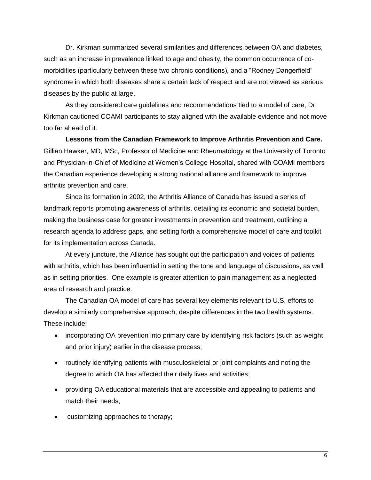Dr. Kirkman summarized several similarities and differences between OA and diabetes, such as an increase in prevalence linked to age and obesity, the common occurrence of comorbidities (particularly between these two chronic conditions), and a "Rodney Dangerfield" syndrome in which both diseases share a certain lack of respect and are not viewed as serious diseases by the public at large.

As they considered care guidelines and recommendations tied to a model of care, Dr. Kirkman cautioned COAMI participants to stay aligned with the available evidence and not move too far ahead of it.

**Lessons from the Canadian Framework to Improve Arthritis Prevention and Care.**  Gillian Hawker, MD, MSc, Professor of Medicine and Rheumatology at the University of Toronto and Physician-in-Chief of Medicine at Women's College Hospital, shared with COAMI members the Canadian experience developing a strong national alliance and framework to improve arthritis prevention and care.

Since its formation in 2002, the Arthritis Alliance of Canada has issued a series of landmark reports promoting awareness of arthritis, detailing its economic and societal burden, making the business case for greater investments in prevention and treatment, outlining a research agenda to address gaps, and setting forth a comprehensive model of care and toolkit for its implementation across Canada.

At every juncture, the Alliance has sought out the participation and voices of patients with arthritis, which has been influential in setting the tone and language of discussions, as well as in setting priorities. One example is greater attention to pain management as a neglected area of research and practice.

The Canadian OA model of care has several key elements relevant to U.S. efforts to develop a similarly comprehensive approach, despite differences in the two health systems. These include:

- incorporating OA prevention into primary care by identifying risk factors (such as weight and prior injury) earlier in the disease process;
- routinely identifying patients with musculoskeletal or joint complaints and noting the degree to which OA has affected their daily lives and activities;
- providing OA educational materials that are accessible and appealing to patients and match their needs;
- customizing approaches to therapy;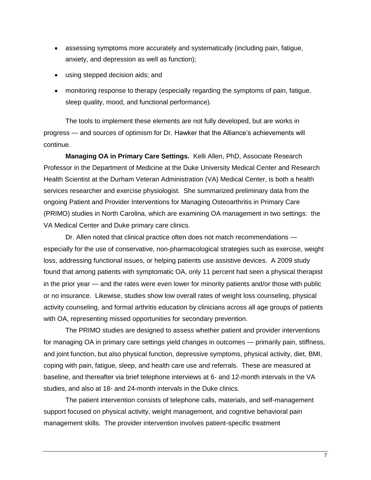- assessing symptoms more accurately and systematically (including pain, fatigue, anxiety, and depression as well as function);
- using stepped decision aids; and
- monitoring response to therapy (especially regarding the symptoms of pain, fatigue, sleep quality, mood, and functional performance).

The tools to implement these elements are not fully developed, but are works in progress — and sources of optimism for Dr. Hawker that the Alliance's achievements will continue.

**Managing OA in Primary Care Settings.** Kelli Allen, PhD, Associate Research Professor in the Department of Medicine at the Duke University Medical Center and Research Health Scientist at the Durham Veteran Administration (VA) Medical Center, is both a health services researcher and exercise physiologist. She summarized preliminary data from the ongoing Patient and Provider Interventions for Managing Osteoarthritis in Primary Care (PRIMO) studies in North Carolina, which are examining OA management in two settings: the VA Medical Center and Duke primary care clinics.

Dr. Allen noted that clinical practice often does not match recommendations especially for the use of conservative, non-pharmacological strategies such as exercise, weight loss, addressing functional issues, or helping patients use assistive devices. A 2009 study found that among patients with symptomatic OA, only 11 percent had seen a physical therapist in the prior year — and the rates were even lower for minority patients and/or those with public or no insurance. Likewise, studies show low overall rates of weight loss counseling, physical activity counseling, and formal arthritis education by clinicians across all age groups of patients with OA, representing missed opportunities for secondary prevention.

The PRIMO studies are designed to assess whether patient and provider interventions for managing OA in primary care settings yield changes in outcomes — primarily pain, stiffness, and joint function, but also physical function, depressive symptoms, physical activity, diet, BMI, coping with pain, fatigue, sleep, and health care use and referrals. These are measured at baseline, and thereafter via brief telephone interviews at 6- and 12-month intervals in the VA studies, and also at 18- and 24-month intervals in the Duke clinics.

The patient intervention consists of telephone calls, materials, and self-management support focused on physical activity, weight management, and cognitive behavioral pain management skills. The provider intervention involves patient-specific treatment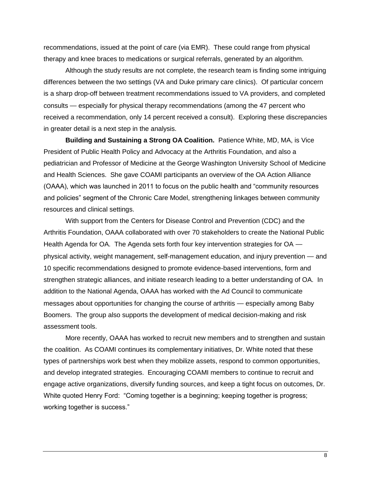recommendations, issued at the point of care (via EMR). These could range from physical therapy and knee braces to medications or surgical referrals, generated by an algorithm.

Although the study results are not complete, the research team is finding some intriguing differences between the two settings (VA and Duke primary care clinics). Of particular concern is a sharp drop-off between treatment recommendations issued to VA providers, and completed consults — especially for physical therapy recommendations (among the 47 percent who received a recommendation, only 14 percent received a consult). Exploring these discrepancies in greater detail is a next step in the analysis.

**Building and Sustaining a Strong OA Coalition.** Patience White, MD, MA, is Vice President of Public Health Policy and Advocacy at the Arthritis Foundation, and also a pediatrician and Professor of Medicine at the George Washington University School of Medicine and Health Sciences. She gave COAMI participants an overview of the OA Action Alliance (OAAA), which was launched in 2011 to focus on the public health and "community resources and policies" segment of the Chronic Care Model, strengthening linkages between community resources and clinical settings.

With support from the Centers for Disease Control and Prevention (CDC) and the Arthritis Foundation, OAAA collaborated with over 70 stakeholders to create the National Public Health Agenda for OA. The Agenda sets forth four key intervention strategies for OA physical activity, weight management, self-management education, and injury prevention — and 10 specific recommendations designed to promote evidence-based interventions, form and strengthen strategic alliances, and initiate research leading to a better understanding of OA. In addition to the National Agenda, OAAA has worked with the Ad Council to communicate messages about opportunities for changing the course of arthritis — especially among Baby Boomers. The group also supports the development of medical decision-making and risk assessment tools.

More recently, OAAA has worked to recruit new members and to strengthen and sustain the coalition. As COAMI continues its complementary initiatives, Dr. White noted that these types of partnerships work best when they mobilize assets, respond to common opportunities, and develop integrated strategies. Encouraging COAMI members to continue to recruit and engage active organizations, diversify funding sources, and keep a tight focus on outcomes, Dr. White quoted Henry Ford: "Coming together is a beginning; keeping together is progress; working together is success."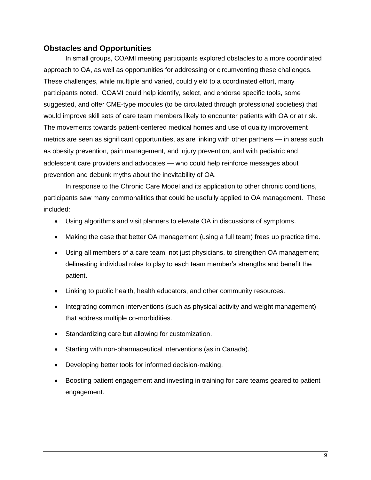# **Obstacles and Opportunities**

In small groups, COAMI meeting participants explored obstacles to a more coordinated approach to OA, as well as opportunities for addressing or circumventing these challenges. These challenges, while multiple and varied, could yield to a coordinated effort, many participants noted. COAMI could help identify, select, and endorse specific tools, some suggested, and offer CME-type modules (to be circulated through professional societies) that would improve skill sets of care team members likely to encounter patients with OA or at risk. The movements towards patient-centered medical homes and use of quality improvement metrics are seen as significant opportunities, as are linking with other partners — in areas such as obesity prevention, pain management, and injury prevention, and with pediatric and adolescent care providers and advocates — who could help reinforce messages about prevention and debunk myths about the inevitability of OA.

In response to the Chronic Care Model and its application to other chronic conditions, participants saw many commonalities that could be usefully applied to OA management. These included:

- Using algorithms and visit planners to elevate OA in discussions of symptoms.
- Making the case that better OA management (using a full team) frees up practice time.
- Using all members of a care team, not just physicians, to strengthen OA management; delineating individual roles to play to each team member's strengths and benefit the patient.
- Linking to public health, health educators, and other community resources.
- Integrating common interventions (such as physical activity and weight management) that address multiple co-morbidities.
- Standardizing care but allowing for customization.
- Starting with non-pharmaceutical interventions (as in Canada).
- Developing better tools for informed decision-making.
- Boosting patient engagement and investing in training for care teams geared to patient engagement.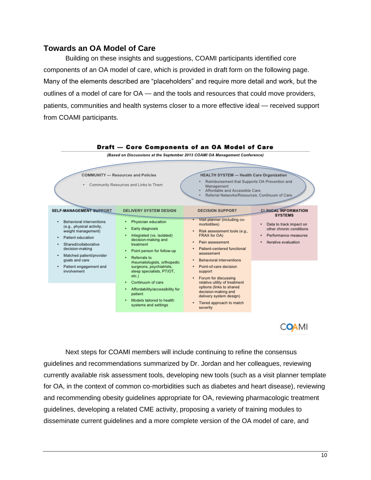## **Towards an OA Model of Care**

Building on these insights and suggestions, COAMI participants identified core components of an OA model of care, which is provided in draft form on the following page. Many of the elements described are "placeholders" and require more detail and work, but the outlines of a model of care for OA — and the tools and resources that could move providers, patients, communities and health systems closer to a more effective ideal — received support from COAMI participants.



**COAMI** 

Next steps for COAMI members will include continuing to refine the consensus guidelines and recommendations summarized by Dr. Jordan and her colleagues, reviewing currently available risk assessment tools, developing new tools (such as a visit planner template for OA, in the context of common co-morbidities such as diabetes and heart disease), reviewing and recommending obesity guidelines appropriate for OA, reviewing pharmacologic treatment guidelines, developing a related CME activity, proposing a variety of training modules to disseminate current guidelines and a more complete version of the OA model of care, and